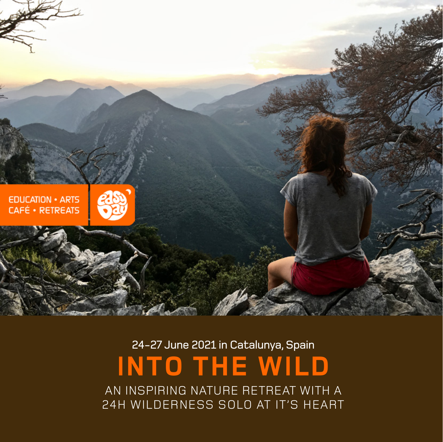

# 24-27 June 2021 in Catalunya, Spain INTO THE WILD

AN INSPIRING NATURE RETREAT WITH A 24H WILDERNESS SOLO AT IT'S HEART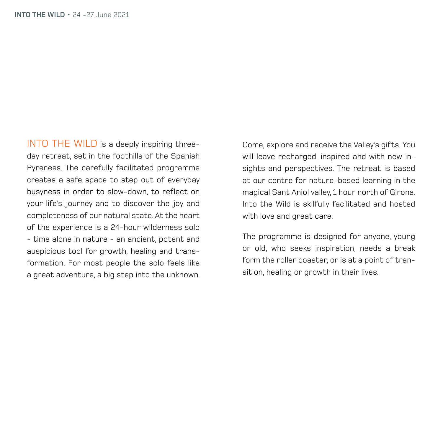INTO THE WILD is a deeply inspiring threeday retreat, set in the foothills of the Spanish Pyrenees. The carefully facilitated programme creates a safe space to step out of everyday busyness in order to slow-down, to reflect on your life's journey and to discover the joy and completeness of our natural state. At the heart of the experience is a 24-hour wilderness solo - time alone in nature - an ancient, potent and auspicious tool for growth, healing and transformation. For most people the solo feels like a great adventure, a big step into the unknown.

Come, explore and receive the Valley's gifts. You will leave recharged, inspired and with new insights and perspectives. The retreat is based at our centre for nature-based learning in the magical Sant Aniol valley, 1 hour north of Girona. Into the Wild is skilfully facilitated and hosted with love and great care.

The programme is designed for anyone, young or old, who seeks inspiration, needs a break form the roller coaster, or is at a point of transition, healing or growth in their lives.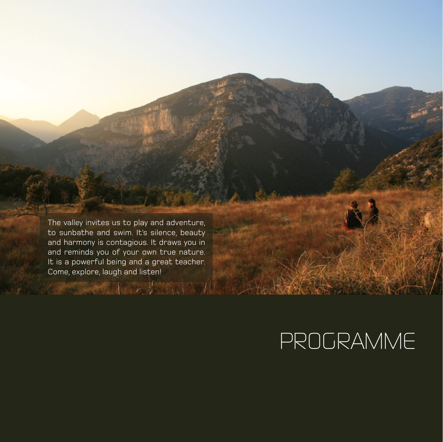The valley invites us to play and adventure, to sunbathe and swim. It's silence, beauty and harmony is contagious. It draws you in and reminds you of your own true nature. It is a powerful being and a great teacher. Come, explore, laugh and listen!STANDARD AND THE STANDARD

# *PROGRAMME*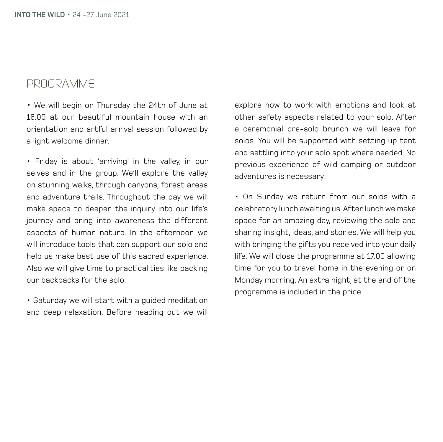## *PROGRAMME*

• We will begin on Thursday the 24th of June at 16.00 at our beautiful mountain house with an orientation and artful arrival session followed by a light welcome dinner.

• Friday is about 'arriving' in the valley, in our selves and in the group. We'll explore the valley on stunning walks, through canyons, forest areas and adventure trails. Throughout the day we will make space to deepen the inquiry into our life's journey and bring into awareness the different aspects of human nature. In the afternoon we will introduce tools that can support our solo and help us make best use of this sacred experience. Also we will give time to practicalities like packing our backpacks for the solo.

• Saturday we will start with a guided meditation and deep relaxation. Before heading out we will

explore how to work with emotions and look at other safety aspects related to your solo. After a ceremonial pre-solo brunch we will leave for solos. You will be supported with setting up tent and settling into your solo spot where needed. No previous experience of wild camping or outdoor adventures is necessary.

• On Sunday we return from our solos with a celebratory lunch awaiting us. After lunch we make space for an amazing day, reviewing the solo and sharing insight, ideas, and stories. We will help you with bringing the gifts you received into your daily life. We will close the programme at 17.00 allowing time for you to travel home in the evening or on Monday morning. An extra night, at the end of the programme is included in the price.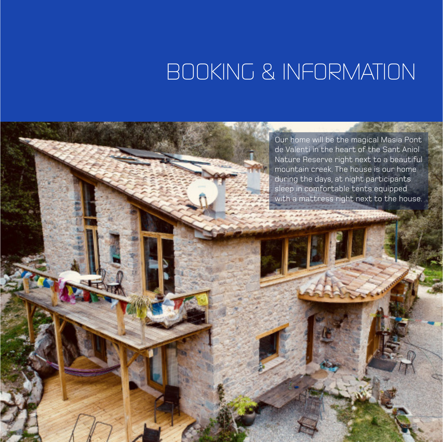# *BOOKING & INFORMATION*

Our home will be the magical Masia Pont de Valenti in the heart of the Sant Aniol Nature Reserve right next to a beautiful mountain creek. The house is our home during the days, at night participants sleep in comfortable tents equipped with a mattress right next to the house.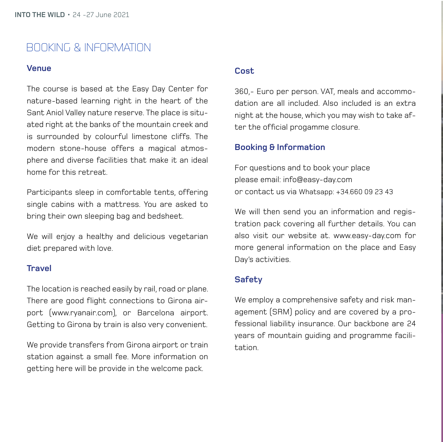## *BOOKING & INFORMATION*

### **Venue**

The course is based at the Easy Day Center for nature-based learning right in the heart of the Sant Aniol Valley nature reserve. The place is situated right at the banks of the mountain creek and is surrounded by colourful limestone cliffs. The modern stone-house offers a magical atmosphere and diverse facilities that make it an ideal home for this retreat.

Participants sleep in comfortable tents, offering single cabins with a mattress. You are asked to bring their own sleeping bag and bedsheet.

We will enjoy a healthy and delicious vegetarian diet prepared with love.

### **Travel**

The location is reached easily by rail, road or plane. There are good flight connections to Girona airport (www.ryanair.com), or Barcelona airport. Getting to Girona by train is also very convenient.

We provide transfers from Girona airport or train station against a small fee. More information on getting here will be provide in the welcome pack.

#### **Cost**

360,- Euro per person. VAT, meals and accommodation are all included. Also included is an extra night at the house, which you may wish to take after the official progamme closure.

### **Booking & Information**

For questions and to book your place please email: info@easy-day.com or contact us via Whatsapp: +34.660 09 23 43

We will then send you an information and registration pack covering all further details. You can also visit our website at. www.easy-day.com for more general information on the place and Easy Day's activities.

### **Safety**

We employ a comprehensive safety and risk management (SRM) policy and are covered by a professional liability insurance. Our backbone are 24 years of mountain guiding and programme facilitation.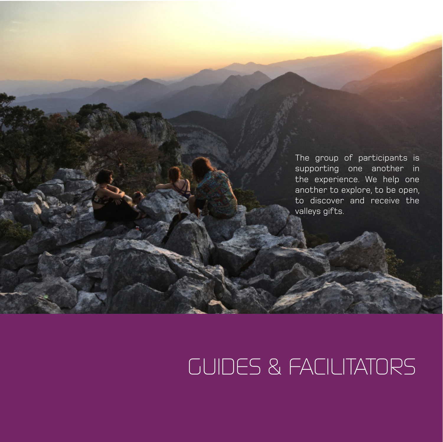The group of participants is supporting one another in the experience. We help one another to explore, to be open, to discover and receive the valleys gifts.

# *GUIDES & FACILITATORS*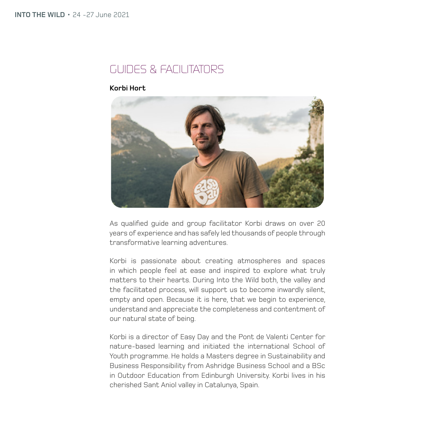## *GUIDES & FACILITATORS*

#### **Korbi Hort**



As qualified guide and group facilitator Korbi draws on over 20 years of experience and has safely led thousands of people through transformative learning adventures.

Korbi is passionate about creating atmospheres and spaces in which people feel at ease and inspired to explore what truly matters to their hearts. During Into the Wild both, the valley and the facilitated process, will support us to become inwardly silent, empty and open. Because it is here, that we begin to experience, understand and appreciate the completeness and contentment of our natural state of being.

Korbi is a director of Easy Day and the Pont de Valenti Center for nature-based learning and initiated the international School of Youth programme. He holds a Masters degree in Sustainability and Business Responsibility from Ashridge Business School and a BSc in Outdoor Education from Edinburgh University. Korbi lives in his cherished Sant Aniol valley in Catalunya, Spain.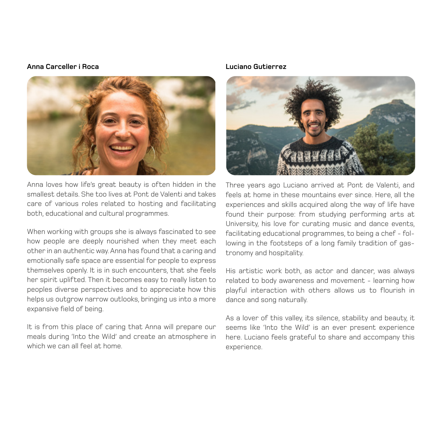#### **Anna Carceller i Roca**



Anna loves how life's great beauty is often hidden in the smallest details. She too lives at Pont de Valenti and takes care of various roles related to hosting and facilitating both, educational and cultural programmes.

When working with groups she is always fascinated to see how people are deeply nourished when they meet each other in an authentic way. Anna has found that a caring and emotionally safe space are essential for people to express themselves openly. It is in such encounters, that she feels her spirit uplifted. Then it becomes easy to really listen to peoples diverse perspectives and to appreciate how this helps us outgrow narrow outlooks, bringing us into a more expansive field of being.

It is from this place of caring that Anna will prepare our meals during 'Into the Wild' and create an atmosphere in which we can all feel at home.

#### **Luciano Gutierrez**



Three years ago Luciano arrived at Pont de Valenti, and feels at home in these mountains ever since. Here, all the experiences and skills acquired along the way of life have found their purpose: from studying performing arts at University, his love for curating music and dance events, facilitating educational programmes, to being a chef - following in the footsteps of a long family tradition of gastronomy and hospitality.

His artistic work both, as actor and dancer, was always related to body awareness and movement - learning how playful interaction with others allows us to flourish in dance and song naturally.

As a lover of this valley, its silence, stability and beauty, it seems like 'Into the Wild' is an ever present experience here. Luciano feels grateful to share and accompany this experience.